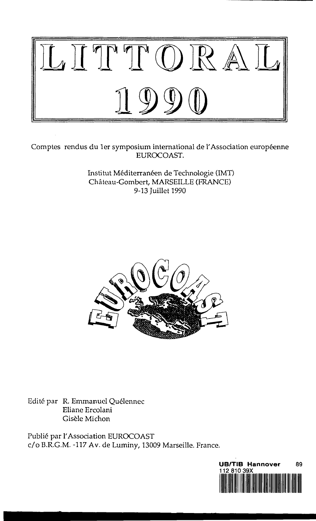

Comptes rendus du 1er symposium international de l'Association européenne EUROCOAST.

> Institut Méditerranéen de Technologie (IMT) Chateau-Gombert, MARSEILLE (FRANCE) 9-13 Juillet 1990



Edité par R. Emmanuel Quélennec Eliane Ercolani Gisele Michon

Publie par 1'Association EUROCOAST c/o B.R.G.M. -117 Av. de Luminy, 13009 Marseille. France.

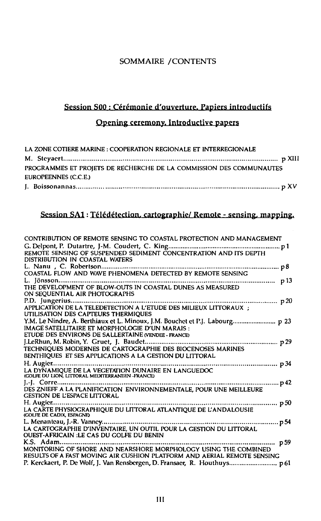# SOMMAIRE /CONTENTS

# Session S00 : Cérémonie d'ouverture. Papiers introductifs

# Opening ceremony. Introductive papers

| LA ZONE COTIERE MARINE : COOPERATION REGIONALE ET INTERREGIONALE    |
|---------------------------------------------------------------------|
|                                                                     |
| PROGRAMMES ET PROJETS DE RECHERCHE DE LA COMMISSION DES COMMUNAUTES |
| EUROPEENNES (C.C.E.)                                                |
|                                                                     |

# Session SA1: Télédétection. cartographie/ Remote - sensing, mapping.

| CONTRIBUTION OF REMOTE SENSING TO COASTAL PROTECTION AND MANAGEMENT                                                                                                                      |  |
|------------------------------------------------------------------------------------------------------------------------------------------------------------------------------------------|--|
| DISTRIBUTION IN COASTAL WATERS                                                                                                                                                           |  |
|                                                                                                                                                                                          |  |
| ON SEOUENTIAL AIR PHOTOGRAPHS                                                                                                                                                            |  |
| UTILISATION DES CAPTEURS THERMIOUES                                                                                                                                                      |  |
| Y.M. Le Nindre, A. Berthiaux et L. Minoux, J.M. Bouchet et P.J. Labourg p 23<br>IMAGE SATELLITAIRE ET MORPHOLOGIE D'UN MARAIS :<br>ETUDE DES ENVIRONS DE SALLERTAINE (VENDEE - FRANCE)   |  |
| BENTHIQUES ET SES APPLICATIONS A LA GESTION DU LITTORAL                                                                                                                                  |  |
| (GOLFE DU LION, LITTORAL MEDITERRANEEN -FRANCE)                                                                                                                                          |  |
| <b>GESTION DE L'ESPACE LITTORAL</b>                                                                                                                                                      |  |
| (GOLFE DE CADIX, ESPAGNE)                                                                                                                                                                |  |
| <b>OUEST-AFRICAIN :LE CAS DU GOLFE DU BENIN</b>                                                                                                                                          |  |
| <u>ссы талени ды сло во севя в во вышл</u><br>MONITORING OF SHORE AND NEARSHORE MORPHOLOGY USING THE COMBINED<br>RESULTS OF A FAST MOVING AIR CUSHION PLATFORM AND AERIAL REMOTE SENSING |  |
| P. Kerckaert, P. De Wolf, J. Van Rensbergen, D. Fransaer, R. Houthuys p 61                                                                                                               |  |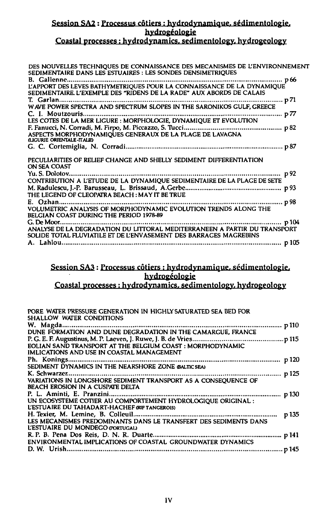## **Session SA2 : Processus cotiers : hydrodynamique. sedimentologie. hydrog£ologie Coastal processes: hydrodynamics, sedimentoloev. hvdrogeologv**

| DES NOUVELLES TECHNIQUES DE CONNAISSANCE DES MECANISMES DE L'ENVIRONNEMENT<br>SEDIMENTAIRE DANS LES ESTUAIRES : LES SONDES DENSIMETRIQUES<br>p 66<br>SEDIMENTAIRE. L'EXEMPLE DES "RIDENS DE LA RADE" AUX ABORDS DE CALAIS<br>p 71<br>C. I. Moutzouris<br>p <i>7</i> 7<br>ASPECTS MORPHODYNAMIOUES GENERAUX DE LA PLAGE DE LAVAGNA<br><b>LIGURIE ORIENTALE-ITALIE</b><br>PECULIARITIES OF RELIEF CHANGE AND SHELLY SEDIMENT DIFFERENTIATION<br>ON SEA COAST<br>p 92 |  |
|--------------------------------------------------------------------------------------------------------------------------------------------------------------------------------------------------------------------------------------------------------------------------------------------------------------------------------------------------------------------------------------------------------------------------------------------------------------------|--|
|                                                                                                                                                                                                                                                                                                                                                                                                                                                                    |  |
|                                                                                                                                                                                                                                                                                                                                                                                                                                                                    |  |
|                                                                                                                                                                                                                                                                                                                                                                                                                                                                    |  |
|                                                                                                                                                                                                                                                                                                                                                                                                                                                                    |  |
|                                                                                                                                                                                                                                                                                                                                                                                                                                                                    |  |
|                                                                                                                                                                                                                                                                                                                                                                                                                                                                    |  |
|                                                                                                                                                                                                                                                                                                                                                                                                                                                                    |  |
|                                                                                                                                                                                                                                                                                                                                                                                                                                                                    |  |
|                                                                                                                                                                                                                                                                                                                                                                                                                                                                    |  |
|                                                                                                                                                                                                                                                                                                                                                                                                                                                                    |  |
| THE LEGEND OF CLEOPATRA BEACH : MAY IT BE TRUE<br>BELGIAN COAST DURING THE PERIOD 1978-89                                                                                                                                                                                                                                                                                                                                                                          |  |
|                                                                                                                                                                                                                                                                                                                                                                                                                                                                    |  |
|                                                                                                                                                                                                                                                                                                                                                                                                                                                                    |  |
|                                                                                                                                                                                                                                                                                                                                                                                                                                                                    |  |
|                                                                                                                                                                                                                                                                                                                                                                                                                                                                    |  |
|                                                                                                                                                                                                                                                                                                                                                                                                                                                                    |  |
|                                                                                                                                                                                                                                                                                                                                                                                                                                                                    |  |
| SOLIDE TOTAL FLUVIATILE ET DE L'ENVASEMENT DES BARRAGES MAGREBINS                                                                                                                                                                                                                                                                                                                                                                                                  |  |
|                                                                                                                                                                                                                                                                                                                                                                                                                                                                    |  |

# **Session SA3: Processus cotiers : hydrodynamique. sedimentologie. hydrogeologie**

# **Coastal processes: hydrodynamics, sedimentoloev. hvdrogeologv**

| PORE WATER PRESSURE GENERATION IN HIGHLY SATURATED SEA BED FOR<br>SHALLOW WATER CONDITIONS          |       |
|-----------------------------------------------------------------------------------------------------|-------|
|                                                                                                     |       |
|                                                                                                     |       |
|                                                                                                     |       |
| EOLIAN SAND TRANSPORT AT THE BELGIUM COAST: MORPHODYNAMIC                                           |       |
| IMLICATIONS AND USE IN COASTAL MANAGEMENT                                                           |       |
|                                                                                                     |       |
|                                                                                                     |       |
|                                                                                                     |       |
|                                                                                                     |       |
| BEACH EROSION IN A CUSPATE DELTA                                                                    |       |
|                                                                                                     |       |
| UN ECOSYSTEME COTIER AU COMPORTEMENT HYDROLOGIQUE ORIGINAL :                                        |       |
| L'ESTUAIRE DU TAHADART-HACHEF ORIF TANGEROIS)                                                       |       |
|                                                                                                     | p 135 |
| LES MECANISMES PREDOMINANTS DANS LE TRANSFERT DES SEDIMENTS DANS<br>L'ESTUAIRE DU MONDEGO GORTUGALI |       |
|                                                                                                     |       |
| <b>ENVIRONMENTAL IMPLICATIONS OF COASTAL GROUNDWATER DYNAMICS</b>                                   |       |
|                                                                                                     |       |
|                                                                                                     |       |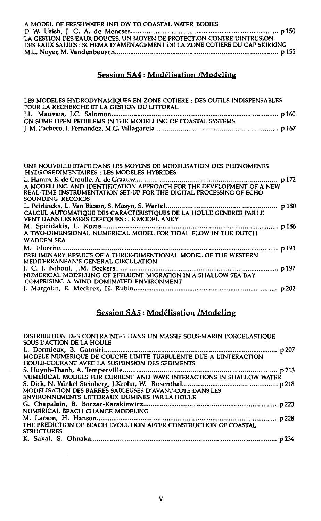| A MODEL OF FRESHWATER INFLOW TO COASTAL WATER BODIES                      |  |
|---------------------------------------------------------------------------|--|
|                                                                           |  |
| LA GESTION DES EAUX DOUCES, UN MOYEN DE PROTECTION CONTRE L'INTRUSION     |  |
| DES EAUX SALEES : SCHEMA D'AMENAGEMENT DE LA ZONE COTIERE DU CAP SKIRRING |  |
| M.L. Noyer, M. Vandenbeusch…………………………………………………………………………………… p 155         |  |

# Session SA4 : Modelisation /Modeling

| LES MODELES HYDRODYNAMIOUES EN ZONE COTIERE : DES OUTILS INDISPENSABLES |  |
|-------------------------------------------------------------------------|--|
| POUR LA RECHERCHE ET LA GESTION DU LITTORAL                             |  |
|                                                                         |  |
| ON SOME OPEN PROBLEMS IN THE MODELLING OF COASTAL SYSTEMS               |  |
|                                                                         |  |

| UNE NOUVELLE ETAPE DANS LES MOYENS DE MODELISATION DES PHENOMENES<br><b>HYDROSEDIMENTAIRES: LES MODELES HYBRIDES</b> |  |
|----------------------------------------------------------------------------------------------------------------------|--|
|                                                                                                                      |  |
| A MODELLING AND IDENTIFICATION APPROACH FOR THE DEVELOPMENT OF A NEW                                                 |  |
| REAL-TIME INSTRUMENTATION SET-UP FOR THE DIGITAL PROCESSING OF ECHO                                                  |  |
| SOUNDING RECORDS                                                                                                     |  |
|                                                                                                                      |  |
| CALCUL AUTOMATIOUE DES CARACTERISTIOUES DE LA HOULE GENEREE PAR LE                                                   |  |
| VENT DANS LES MERS GRECQUES : LE MODEL ANKY                                                                          |  |
|                                                                                                                      |  |
| A TWO-DIMENSIONAL NUMERICAL MODEL FOR TIDAL FLOW IN THE DUTCH                                                        |  |
| <b>WADDEN SEA</b>                                                                                                    |  |
|                                                                                                                      |  |
| PRELIMINARY RESULTS OF A THREE-DIMENTIONAL MODEL OF THE WESTERN                                                      |  |
| MEDITERRANEAN'S GENERAL CIRCULATION                                                                                  |  |
|                                                                                                                      |  |
| NUMERICAL MODELLING OF EFFLUENT MIGRATION IN A SHALLOW SEA BAY                                                       |  |
| COMPRISING A WIND DOMINATED ENVIRONMENT                                                                              |  |
|                                                                                                                      |  |
|                                                                                                                      |  |

# Session SA5: Modelisation /Modeling

| DISTRIBUTION DES CONTRAINTES DANS UN MASSIF SOUS-MARIN POROELASTIOUE<br>SOUS L'ACTION DE LA HOULE |  |
|---------------------------------------------------------------------------------------------------|--|
|                                                                                                   |  |
| MODELE NUMERIQUE DE COUCHE LIMITE TURBULENTE DUE A L'INTERACTION                                  |  |
| HOULE-COURANT AVEC LA SUSPENSION DES SEDIMENTS                                                    |  |
|                                                                                                   |  |
| NUMÉRICAL MODELS FOR CURRENT AND WAVE INTERACTIONS IN SHALLOW WATER                               |  |
|                                                                                                   |  |
| MODELISATION DES BARRES SABLEUSES D'AVANT-COTE DANS LES                                           |  |
| ENVIRONNEMENTS LITTORAUX DOMINES PAR LA HOULE                                                     |  |
|                                                                                                   |  |
| NUMERICAL BEACH CHANGE MODELING                                                                   |  |
|                                                                                                   |  |
| THE PREDICTION OF BEACH EVOLUTION AFTER CONSTRUCTION OF COASTAL                                   |  |
| <b>STRUCTURES</b>                                                                                 |  |
|                                                                                                   |  |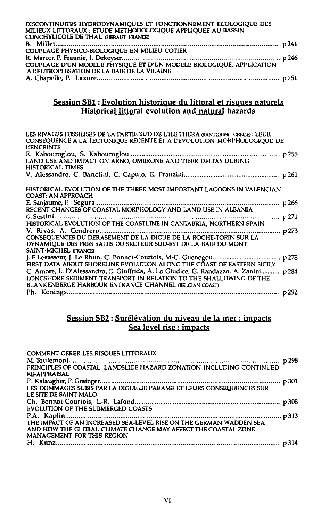| DISCONTINUITES HYDRODYNAMIQUES ET FONCTIONNEMENT ECOLOGIQUE DES      |  |
|----------------------------------------------------------------------|--|
| MILIEUX LITTORAUX : ETUDE METHODOLOGIQUE APPLIQUEE AU BASSIN         |  |
| <b>CONCHYLICOLE DE THAU GIERAUT-FRANCE:</b>                          |  |
|                                                                      |  |
| COUPLAGE PHYSICO-BIOLOGIQUE EN MILIEU COTIER                         |  |
|                                                                      |  |
| COUPLAGE D'UN MODELE PHYSIQUE ET D'UN MODELE BIOLOGIQUE. APPLICATION |  |
| A L'EUTROPHISATION DE LA BAIE DE LA VILAINE                          |  |
|                                                                      |  |

#### **Session SB1: Evolution historique du littoral et risques naturels Historical littoral evolution and natural hazards**

| LES RIVAGES FOSSILISES DE LA PARTIE SUD DE L'ILE THERA GANTORINI -GRECE) : LEUR<br>CONSEQUENCE A LA TECTONIQUE RECENTE ET A L'EVOLUTION MORPHOLOGIQUE DE<br><b>L'ENCEINTE</b> |
|-------------------------------------------------------------------------------------------------------------------------------------------------------------------------------|
|                                                                                                                                                                               |
| LAND USE AND IMPACT ON ARNO, OMBRONE AND TIBER DELTAS DURING<br><b>HISTORICAL TIMES</b>                                                                                       |
|                                                                                                                                                                               |
| HISTORICAL EVOLUTION OF THE THREE MOST IMPORTANT LAGOONS IN VALENCIAN<br><b>COAST: AN APPROACH</b>                                                                            |
| p 266                                                                                                                                                                         |
| RECENT CHANGES OF COASTAL MORPHOLOGY AND LAND USE IN ALBANIA                                                                                                                  |
| G. Sestini<br>p 271                                                                                                                                                           |
| HISTORICAL EVOLUTION OF THE COASTLINE IN CANTABRIA, NORTHERN SPAIN                                                                                                            |
| p 273                                                                                                                                                                         |
| CONSEQUENCES DU DERASEMENT DE LA DIGUE DE LA ROCHE-TORIN SUR LA                                                                                                               |
| DYNAMIQUE DES PRES SALES DU SECTEUR SUD-EST DE LA BAIE DU MONT                                                                                                                |
| SAINT-MICHEL GRANCE)                                                                                                                                                          |
| p 278                                                                                                                                                                         |
| FIRST DATA ABOUT SHORELINE EVOLUTION ALONG THE COAST OF EASTERN SICILY                                                                                                        |
| C. Amore, L. D'Alessandro, E. Giuffrida, A. Lo Giudice, G. Randazzo, A. Zanini p 284                                                                                          |
| LONGSHORE SEDIMENT TRANSPORT IN RELATION TO THE SHALLOWING OF THE                                                                                                             |
| BLANKENBERGE HARBOUR ENTRANCE CHANNEL (BELGIAN COAST)                                                                                                                         |
|                                                                                                                                                                               |

#### **Session SB2: Surelevation du niveau de la mer : impacts Sea level rise : impacts**

| COMMENT GERER LES RISQUES LITTORAUX                                 |  |
|---------------------------------------------------------------------|--|
|                                                                     |  |
| PRINCIPLES OF COASTAL LANDSLIDE HAZARD ZONATION INCLUDING CONTINUED |  |
| <b>RE-APPRAISAL</b>                                                 |  |
|                                                                     |  |
|                                                                     |  |
| LE SITE DE SAINT MALO                                               |  |
|                                                                     |  |
| EVOLUTION OF THE SUBMERGED COASTS                                   |  |
|                                                                     |  |
| THE IMPACT OF AN INCREASED SEA-LEVEL RISE ON THE GERMAN WADDEN SEA  |  |
| AND HOW THE GLOBAL CLIMATE CHANGE MAY AFFECT THE COASTAL ZONE       |  |
| MANAGEMENT FOR THIS REGION                                          |  |
|                                                                     |  |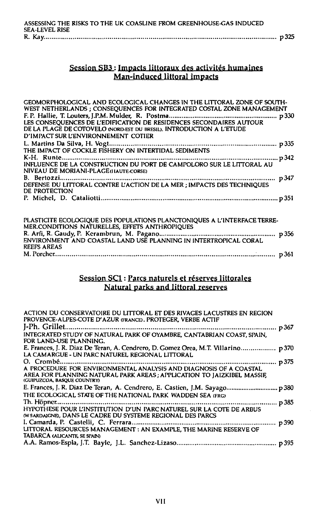| ASSESSING THE RISKS TO THE UK COASLINE FROM GREENHOUSE-GAS INDUCED |  |
|--------------------------------------------------------------------|--|
| SEA-LEVEL RISE                                                     |  |
|                                                                    |  |

## Session SB3 : Impacts littoraux des activites humaines Man-induced littoral impacts

| LES CONSEQUENCES DE L'EDIFICATION DE RESIDENCES SECONDAIRES AUTOUR<br>DE LA PLAGE DE COTOVELO (NORD-EST DU BRESIL). INTRODUCTION A L'ETUDE<br>D'IMPACT SUR L'ENVIRONNEMENT COTIER<br>THE IMPACT OF COCKLE FISHERY ON INTERTIDAL SEDIMENTS<br>NIVEAU DE MORIANI-PLAGE (HAUTE-CORSE)<br>DE PROTECTION<br>PLASTICITE ECOLOGIQUE DES POPULATIONS PLANCTONIQUES A L'INTERFACE TERRE-<br>MER.CONDITIONS NATURELLES, EFFETS ANTHROPIQUES<br>ENVIRONMENT AND COASTAL LAND USE PLANNING IN INTERTROPICAL CORAL<br><b>REEFS AREAS</b> | GEOMORPHOLOGICAL AND ECOLOGICAL CHANGES IN THE LITTORAL ZONE OF SOUTH-<br>WEST NETHERLANDS; CONSEQUENCES FOR INTEGRATED COSTAL ZONE MANAGEMENT |  |
|-----------------------------------------------------------------------------------------------------------------------------------------------------------------------------------------------------------------------------------------------------------------------------------------------------------------------------------------------------------------------------------------------------------------------------------------------------------------------------------------------------------------------------|------------------------------------------------------------------------------------------------------------------------------------------------|--|
|                                                                                                                                                                                                                                                                                                                                                                                                                                                                                                                             |                                                                                                                                                |  |
|                                                                                                                                                                                                                                                                                                                                                                                                                                                                                                                             |                                                                                                                                                |  |
|                                                                                                                                                                                                                                                                                                                                                                                                                                                                                                                             |                                                                                                                                                |  |
|                                                                                                                                                                                                                                                                                                                                                                                                                                                                                                                             |                                                                                                                                                |  |
|                                                                                                                                                                                                                                                                                                                                                                                                                                                                                                                             |                                                                                                                                                |  |
|                                                                                                                                                                                                                                                                                                                                                                                                                                                                                                                             |                                                                                                                                                |  |
|                                                                                                                                                                                                                                                                                                                                                                                                                                                                                                                             |                                                                                                                                                |  |
|                                                                                                                                                                                                                                                                                                                                                                                                                                                                                                                             |                                                                                                                                                |  |
|                                                                                                                                                                                                                                                                                                                                                                                                                                                                                                                             |                                                                                                                                                |  |
|                                                                                                                                                                                                                                                                                                                                                                                                                                                                                                                             |                                                                                                                                                |  |
|                                                                                                                                                                                                                                                                                                                                                                                                                                                                                                                             |                                                                                                                                                |  |
|                                                                                                                                                                                                                                                                                                                                                                                                                                                                                                                             |                                                                                                                                                |  |
|                                                                                                                                                                                                                                                                                                                                                                                                                                                                                                                             |                                                                                                                                                |  |
|                                                                                                                                                                                                                                                                                                                                                                                                                                                                                                                             |                                                                                                                                                |  |
|                                                                                                                                                                                                                                                                                                                                                                                                                                                                                                                             |                                                                                                                                                |  |
|                                                                                                                                                                                                                                                                                                                                                                                                                                                                                                                             |                                                                                                                                                |  |

# Session SC1 : Parcs naturels et réserves littorales Natural parks and littoral reserves

| ACTION DU CONSERVATOIRE DU LITTORAL ET DES RIVAGES LACUSTRES EN REGION<br>PROVENCE-ALPES-COTE D'AZUR (FRANCE). PROTEGER, VERBE ACTIF                                       |  |
|----------------------------------------------------------------------------------------------------------------------------------------------------------------------------|--|
|                                                                                                                                                                            |  |
| INTEGRATED STUDY OF NATURAL PARK OF OYAMBRE, CANTABRIAN COAST, SPAIN,<br>FOR LAND-USE PLANNING.                                                                            |  |
| E. Frances, J. R. Diaz De Teran, A. Cendrero, D. Gomez Orea, M.T. Villarino p 370<br>LA CAMARGUE - UN PARC NATUREL REGIONAL LITTORAL                                       |  |
| A PROCEDURE FOR ENVIRONMENTAL ANALYSIS AND DIAGNOSIS OF A COASTAL<br>AREA FOR PLANNING NATURAL PARK AREAS; APPLICATION TO JAIZKIBEL MASSIF,<br>(GUIPUZCOA, BASQUE COUNTRY) |  |
| E. Frances, J. R. Diaz De Teran, A. Cendrero, E. Castien, J.M. Sayago p 380<br>THE ECOLOGICAL STATE OF THE NATIONAL PARK WADDEN SEA (FRG)                                  |  |
| HYPOTHESE POUR L'INSTITUTION D'UN PARC NATUREL SUR LA COTE DE ARBUS<br>(W SARDAIGNE), DANS LE CADRE DU SYSTEME REGIONAL DES PARCS                                          |  |
| LITTORAL RESOURCES MANAGEMENT : AN EXAMPLE, THE MARINE RESERVE OF<br>TABARCA (ALICANTE, SE SPAIN)                                                                          |  |
|                                                                                                                                                                            |  |
|                                                                                                                                                                            |  |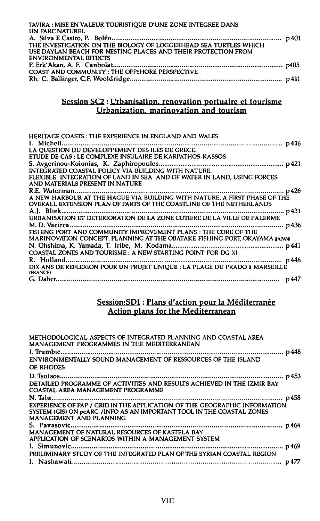| TAVIRA : MISE EN VALEUR TOURISTIQUE D'UNE ZONE INTEGREE DANS     |  |
|------------------------------------------------------------------|--|
| UN PARC NATUREL                                                  |  |
|                                                                  |  |
| THE INVESTIGATION ON THE BIOLOGY OF LOGGERHEAD SEA TURTLES WHICH |  |
| USE DAYLAN BEACH FOR NESTING PLACES AND THEIR PROTECTION FROM    |  |
| <b>ENVIRONMENTAL EFFECTS</b>                                     |  |
|                                                                  |  |
| COAST AND COMMUNITY: THE OFFSHORE PERSPECTIVE                    |  |
|                                                                  |  |
|                                                                  |  |

#### **Session SC2 : Urbanisation, renovation portuaire et tourisme Urbanization, marinovation and tourism**

| HERITAGE COASTS: THE EXPERIENCE IN ENGLAND AND WALES                       |
|----------------------------------------------------------------------------|
|                                                                            |
|                                                                            |
| ETUDE DE CAS : LE COMPLEXE INSULAIRE DE KARPATHOS-KASSOS                   |
|                                                                            |
| INTEGRATED COASTAL POLICY VIA BUILDING WITH NATURE.                        |
| FLEXIBLE INTEGRATION OF LAND IN SEA AND OF WATER IN LAND. USING FORCES     |
| AND MATERIALS PRESENT IN NATURE                                            |
|                                                                            |
| A NEW HARBOUR AT THE HAGUE VIA BUILDING WITH NATURE. A FIRST PHASE OF THE  |
| OVERALL EXTENSION PLAN OF PARTS OF THE COASTLINE OF THE NETHERLANDS        |
|                                                                            |
|                                                                            |
|                                                                            |
| FISHING PORT AND COMMUNITY IMPROVEMENT PLANS: THE CORE OF THE              |
| MARINOVATION CONCEPT. PLANNING AT THE OBATAKE FISHING PORT, OKAYAMA JAPANG |
|                                                                            |
| COASTAL ZONES AND TOURISME: A NEW STARTING POINT FOR DG XI                 |
|                                                                            |
|                                                                            |
| (FRANCE)                                                                   |
|                                                                            |

## **Session;SD1: Plans d'action pour la Mediterranee Action plans for the Mediterranean**

| METHODOLOGICAL ASPECTS OF INTEGRATED PLANNING AND COASTAL AREA<br>MANAGEMENT PROGRAMMES IN THE MEDITERRANEAN                                                                  |
|-------------------------------------------------------------------------------------------------------------------------------------------------------------------------------|
|                                                                                                                                                                               |
| ENVIRONMENTALLY SOUND MANAGEMENT OF RESSOURCES OF THE ISLAND<br>OF RHODES                                                                                                     |
|                                                                                                                                                                               |
| DETAILED PROGRAMME OF ACTIVITIES AND RESULTS ACHIEVED IN THE IZMIR BAY.<br>COASTAL AREA MANAGEMENT PROGRAMME                                                                  |
|                                                                                                                                                                               |
| EXPERIENCE OF PAP / GRID IN THE APPLICATION OF THE GEOGRAPHIC INFORMATION<br>SYSTEM (GIS) ON pcARC /INFO AS AN IMPORTANT TOOL IN THE COASTAL ZONES<br>MANAGEMENT AND PLANNING |
|                                                                                                                                                                               |
| MANAGEMENT OF NATURAL RESOURCES OF KASTELA BAY                                                                                                                                |
| APPLICATION OF SCENARIOS WITHIN A MANAGEMENT SYSTEM                                                                                                                           |
|                                                                                                                                                                               |
| PRELIMINARY STUDY OF THE INTEGRATED PLAN OF THE SYRIAN COASTAL REGION                                                                                                         |
|                                                                                                                                                                               |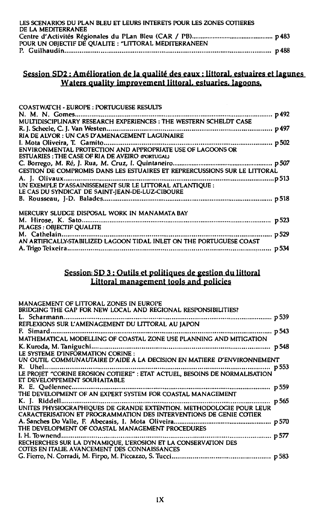| LES SCENARIOS DU PLAN BLEU ET LEURS INTERETS POUR LES ZONES COTIERES |  |
|----------------------------------------------------------------------|--|
| DE LA MEDITERRANEE                                                   |  |
|                                                                      |  |
| POUR UN OBIECTIF DE QUALITE : "LITTORAL MEDITERRANEEN                |  |
|                                                                      |  |

## **Session SD2: Amelioration de la qualite des eaux: littoral, estuaires et lagunes Waters quality improvement littoral, estuaries, lagoons.**

| <b>COASTWATCH - EUROPE : PORTUGUESE RESULTS</b>                           |  |
|---------------------------------------------------------------------------|--|
|                                                                           |  |
| MULTIDISCIPLINARY RESEARCH EXPERIENCES : THE WESTERN SCHELDT CASE         |  |
|                                                                           |  |
| RIA DE ALVOR : UN CAS D'AMENAGEMENT LAGUNAIRE                             |  |
|                                                                           |  |
| ENVIRONMENTAL PROTECTION AND APPROPRIATE USE OF LAGOONS OR                |  |
| <b>ESTUARIES: THE CASE OF RIA DE AVEIRO (PORTUGAL)</b>                    |  |
|                                                                           |  |
| GESTION DE COMPROMIS DANS LES ESTUAIRES ET REPRERCUSSIONS SUR LE LITTORAL |  |
|                                                                           |  |
| UN EXEMPLE D'ASSAINISSEMENT SUR LE LITTORAL ATLANTIQUE :                  |  |
| LE CAS DU SYNDICAT DE SAINT-JEAN-DE-LUZ-CIBOURE                           |  |
|                                                                           |  |
|                                                                           |  |
| MERCURY SLUDGE DISPOSAL WORK IN MANAMATA BAY                              |  |
|                                                                           |  |
| PLAGES: OBJECTIF QUALITE                                                  |  |
|                                                                           |  |
| AN ARTIFICALLY-STABILIZED LAGOON TIDAL INLET ON THE PORTUGUESE COAST      |  |
|                                                                           |  |
|                                                                           |  |

#### **Session; SD 3 : Outils et politiques de gestion du littoral Littoral management tools and policies**

| MANAGEMENT OF LITTORAL ZONES IN EUROPE<br>BRIDGING THE GAP FOR NEW LOCAL AND REGIONAL RESPONSIBILITIES?        |       |
|----------------------------------------------------------------------------------------------------------------|-------|
|                                                                                                                |       |
| REFLEXIONS SUR L'AMENAGEMENT DU LITTORAL AU JAPON                                                              |       |
| F. Simard                                                                                                      |       |
| MATHEMATICAL MODELLING OF COASTAL ZONE USE PLANNING AND MITIGATION                                             |       |
| LE SYSTEME D'INFORMATION CORINE :                                                                              |       |
| UN OUTIL COMMUNAUTAIRE D'AIDE A LA DECISION EN MATIERE D'ENVIRONNEMENT                                         |       |
|                                                                                                                | p 553 |
|                                                                                                                |       |
| ET DEVELOPPEMENT SOUHAITABLE                                                                                   |       |
| R. E. Ouélennec<br>THE DEVELOPMENT OF AN EXPERT SYSTEM FOR COASTAL MANAGEMENT                                  | p 559 |
|                                                                                                                | p 565 |
| UNITES PHYSIOGRAPHIOUES DE GRANDE EXTENTION. METHODOLOGIE POUR LEUR                                            |       |
| CARACTERISATION ET PROGRAMMATION DES INTERVENTIONS DE GENIE COTIER                                             |       |
|                                                                                                                | p 570 |
| THE DEVELOPMENT OF COASTAL MANAGEMENT PROCEDURES                                                               |       |
| I. H. Townend                                                                                                  |       |
| RECHERCHES SUR LA DYNAMIOUE. L'EROSION ET LA CONSERVATION DES<br>COTES EN ITALIE. AVANCEMENT DES CONNAISSANCES |       |
|                                                                                                                |       |
|                                                                                                                |       |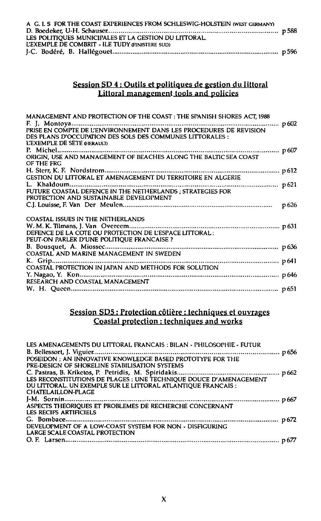| A G. I. S FOR THE COAST EXPERIENCES FROM SCHLESWIG-HOLSTEIN (WEST GERMANY) |  |
|----------------------------------------------------------------------------|--|
|                                                                            |  |
| LES POLITIOUES MUNICIPALES ET LA GESTION DU LITTORAL.                      |  |
| L'EXEMPLE DE COMBRIT - ILE TUDY GINISTERE SUDI                             |  |
|                                                                            |  |

## Session SD 4 ; Outils et politiques de gestion du littoral Littoral management tools and policies

| MANAGEMENT AND PROTECTION OF THE COAST : THE SPANISH SHORES ACT, 1988 |                  |
|-----------------------------------------------------------------------|------------------|
|                                                                       |                  |
|                                                                       |                  |
| DES PLANS D'OCCUPATION DES SOLS DES COMMUNES LITTORALES :             |                  |
| L'EXEMPLE DE SETE GIERAULD                                            |                  |
|                                                                       |                  |
|                                                                       |                  |
| OF THE FRG                                                            |                  |
|                                                                       |                  |
|                                                                       |                  |
|                                                                       |                  |
|                                                                       |                  |
| PROTECTION AND SUSTAINABLE DEVELOPMENT                                |                  |
|                                                                       | p <sub>626</sub> |
|                                                                       |                  |
| COASTAL ISSUES IN THE NETHERLANDS                                     |                  |
|                                                                       |                  |
| DEFENCE DE LA COTE OU PROTECTION DE L'ESPACE LITTORAL :               |                  |
| PEUT-ON PARLER D'UNE POLITIQUE FRANCAISE?                             |                  |
|                                                                       |                  |
| COASTAL AND MARINE MANAGEMENT IN SWEDEN                               |                  |
|                                                                       |                  |
|                                                                       |                  |
|                                                                       |                  |
| RESEARCH AND COASTAL MANAGEMENT                                       |                  |
|                                                                       |                  |
|                                                                       |                  |

## Session SD5: Protection cotiere : techniques et ouvrages Coastal protection: techniques and works

| LES AMENAGEMENTS DU LITTORAL FRANCAIS : BILAN - PHILOSOPHIE - FUTUR |  |
|---------------------------------------------------------------------|--|
|                                                                     |  |
| POSEIDON: AN INNOVATIVE KNOWLEDGE BASED PROTOTYPE FOR THE           |  |
| PRE-DESIGN OF SHORELINE STABILISATION SYSTEMS                       |  |
|                                                                     |  |
| LES RECONSTITUTIONS DE PLAGES : UNE TECHNIQUE DOUCE D'AMENAGEMENT   |  |
| DU LITTORAL. UN EXEMPLE SUR LE LITTORAL ATLANTIQUE FRANCAIS :       |  |
| <b>CHATELAILLON-PLAGE</b>                                           |  |
|                                                                     |  |
| ASPECTS THEORIOUES ET PROBLEMES DE RECHERCHE CONCERNANT             |  |
| <b>LES RECIFS ARTIFICIELS</b>                                       |  |
|                                                                     |  |
| DEVELOPMENT OF A LOW-COAST SYSTEM FOR NON - DISFIGURING             |  |
| LARGE SCALE COASTAL PROTECTION                                      |  |
|                                                                     |  |